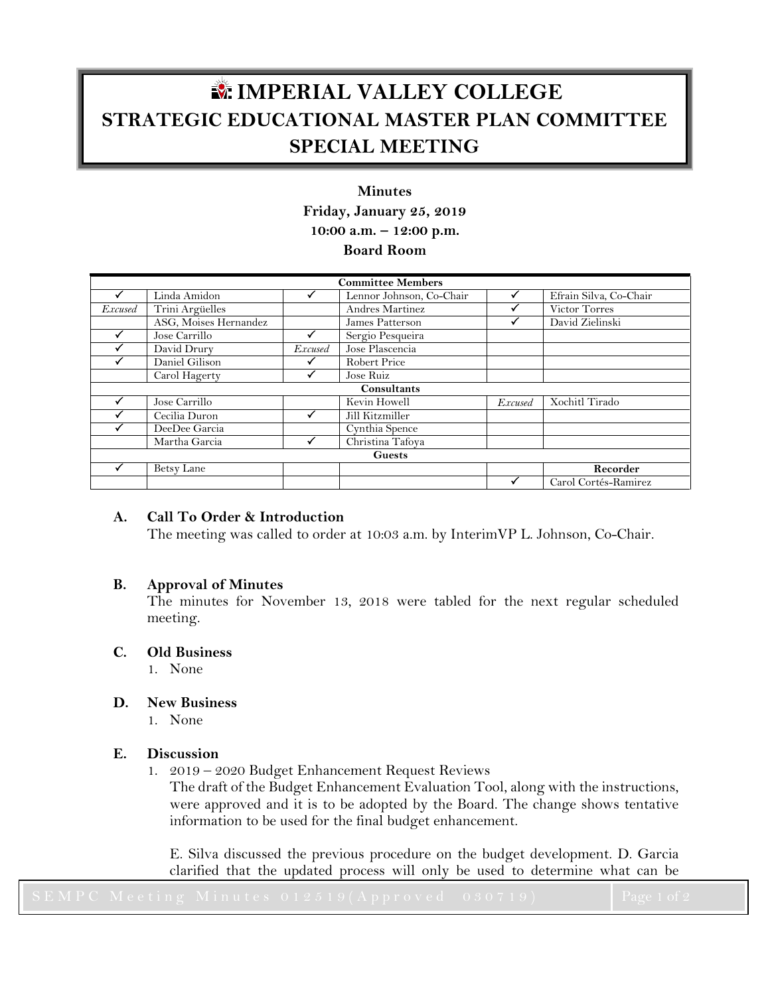# **IMPERIAL VALLEY COLLEGE STRATEGIC EDUCATIONAL MASTER PLAN COMMITTEE SPECIAL MEETING**

## **Minutes Friday, January 25, 2019 10:00 a.m. – 12:00 p.m. Board Room**

| <b>Committee Members</b> |                       |         |                                     |                |                        |
|--------------------------|-----------------------|---------|-------------------------------------|----------------|------------------------|
|                          | Linda Amidon          |         | Lennor Johnson, Co-Chair            |                | Efrain Silva, Co-Chair |
| <i>Excused</i>           | Trini Argüelles       |         | Andres Martinez                     |                | Victor Torres          |
|                          | ASG, Moises Hernandez |         | James Patterson                     |                | David Zielinski        |
|                          | Jose Carrillo         |         | Sergio Pesqueira                    |                |                        |
|                          | David Drury           | Excused | Jose Plascencia                     |                |                        |
|                          | Daniel Gilison        |         | <b>Robert Price</b>                 |                |                        |
|                          | Carol Hagerty         |         | Jose Ruiz                           |                |                        |
| Consultants              |                       |         |                                     |                |                        |
|                          | Jose Carrillo         |         | Kevin Howell                        | <b>Excused</b> | Xochitl Tirado         |
|                          | Cecilia Duron         |         | Jill Kitzmiller                     |                |                        |
|                          | DeeDee Garcia         |         | $\overline{\text{C}}$ ynthia Spence |                |                        |
|                          | Martha Garcia         |         | Christina Tafoya                    |                |                        |
| <b>Guests</b>            |                       |         |                                     |                |                        |
|                          | Betsy Lane            |         |                                     |                | Recorder               |
|                          |                       |         |                                     |                | Carol Cortés-Ramirez   |

## **A. Call To Order & Introduction**

The meeting was called to order at 10:03 a.m. by InterimVP L. Johnson, Co-Chair.

## **B. Approval of Minutes**

The minutes for November 13, 2018 were tabled for the next regular scheduled meeting.

#### **C. Old Business**

1. None

## **D. New Business**

1. None

## **E. Discussion**

1. 2019 – 2020 Budget Enhancement Request Reviews

The draft of the Budget Enhancement Evaluation Tool, along with the instructions, were approved and it is to be adopted by the Board. The change shows tentative information to be used for the final budget enhancement.

E. Silva discussed the previous procedure on the budget development. D. Garcia clarified that the updated process will only be used to determine what can be